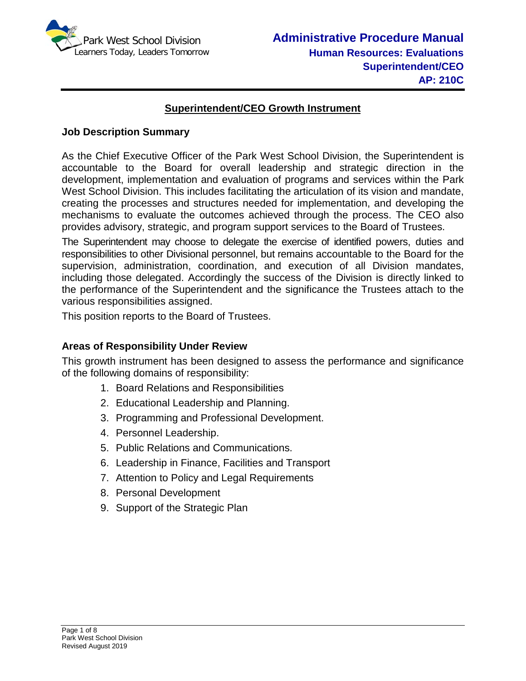

# **Superintendent/CEO Growth Instrument**

## **Job Description Summary**

As the Chief Executive Officer of the Park West School Division, the Superintendent is accountable to the Board for overall leadership and strategic direction in the development, implementation and evaluation of programs and services within the Park West School Division. This includes facilitating the articulation of its vision and mandate, creating the processes and structures needed for implementation, and developing the mechanisms to evaluate the outcomes achieved through the process. The CEO also provides advisory, strategic, and program support services to the Board of Trustees.

The Superintendent may choose to delegate the exercise of identified powers, duties and responsibilities to other Divisional personnel, but remains accountable to the Board for the supervision, administration, coordination, and execution of all Division mandates, including those delegated. Accordingly the success of the Division is directly linked to the performance of the Superintendent and the significance the Trustees attach to the various responsibilities assigned.

This position reports to the Board of Trustees.

## **Areas of Responsibility Under Review**

This growth instrument has been designed to assess the performance and significance of the following domains of responsibility:

- 1. Board Relations and Responsibilities
- 2. Educational Leadership and Planning.
- 3. Programming and Professional Development.
- 4. Personnel Leadership.
- 5. Public Relations and Communications.
- 6. Leadership in Finance, Facilities and Transport
- 7. Attention to Policy and Legal Requirements
- 8. Personal Development
- 9. Support of the Strategic Plan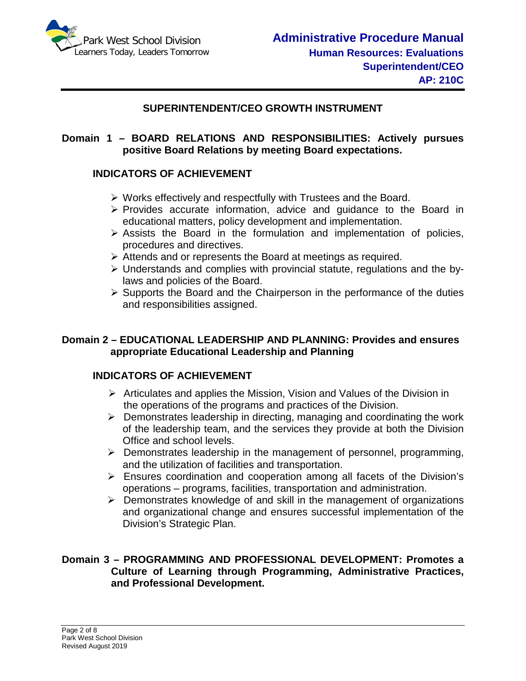

## **SUPERINTENDENT/CEO GROWTH INSTRUMENT**

## **Domain 1 – BOARD RELATIONS AND RESPONSIBILITIES: Actively pursues positive Board Relations by meeting Board expectations.**

## **INDICATORS OF ACHIEVEMENT**

- Works effectively and respectfully with Trustees and the Board.
- $\triangleright$  Provides accurate information, advice and quidance to the Board in educational matters, policy development and implementation.
- $\triangleright$  Assists the Board in the formulation and implementation of policies, procedures and directives.
- $\triangleright$  Attends and or represents the Board at meetings as required.
- $\triangleright$  Understands and complies with provincial statute, regulations and the bylaws and policies of the Board.
- $\triangleright$  Supports the Board and the Chairperson in the performance of the duties and responsibilities assigned.

## **Domain 2 – EDUCATIONAL LEADERSHIP AND PLANNING: Provides and ensures appropriate Educational Leadership and Planning**

## **INDICATORS OF ACHIEVEMENT**

- $\triangleright$  Articulates and applies the Mission, Vision and Values of the Division in the operations of the programs and practices of the Division.
- $\triangleright$  Demonstrates leadership in directing, managing and coordinating the work of the leadership team, and the services they provide at both the Division Office and school levels.
- $\triangleright$  Demonstrates leadership in the management of personnel, programming, and the utilization of facilities and transportation.
- Ensures coordination and cooperation among all facets of the Division's operations – programs, facilities, transportation and administration.
- $\triangleright$  Demonstrates knowledge of and skill in the management of organizations and organizational change and ensures successful implementation of the Division's Strategic Plan.

#### **Domain 3 – PROGRAMMING AND PROFESSIONAL DEVELOPMENT: Promotes a Culture of Learning through Programming, Administrative Practices, and Professional Development.**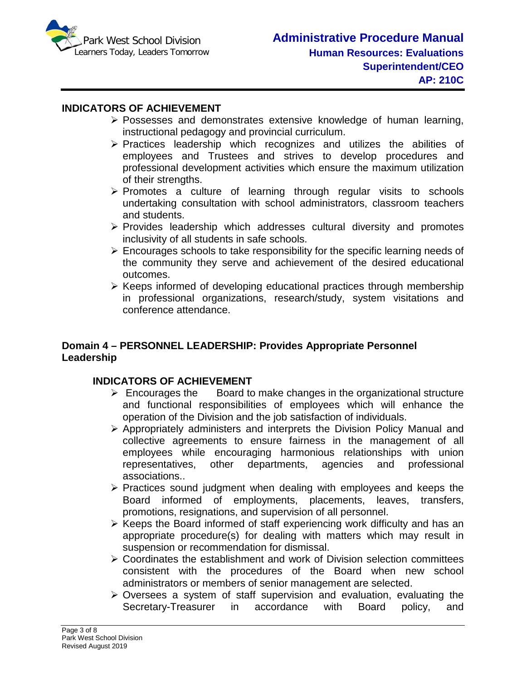

#### **INDICATORS OF ACHIEVEMENT**

- $\triangleright$  Possesses and demonstrates extensive knowledge of human learning, instructional pedagogy and provincial curriculum.
- $\triangleright$  Practices leadership which recognizes and utilizes the abilities of employees and Trustees and strives to develop procedures and professional development activities which ensure the maximum utilization of their strengths.
- $\triangleright$  Promotes a culture of learning through regular visits to schools undertaking consultation with school administrators, classroom teachers and students.
- $\triangleright$  Provides leadership which addresses cultural diversity and promotes inclusivity of all students in safe schools.
- $\triangleright$  Encourages schools to take responsibility for the specific learning needs of the community they serve and achievement of the desired educational outcomes.
- $\triangleright$  Keeps informed of developing educational practices through membership in professional organizations, research/study, system visitations and conference attendance.

## **Domain 4 – PERSONNEL LEADERSHIP: Provides Appropriate Personnel Leadership**

#### **INDICATORS OF ACHIEVEMENT**

- $\triangleright$  Encourages the Board to make changes in the organizational structure and functional responsibilities of employees which will enhance the operation of the Division and the job satisfaction of individuals.
- $\triangleright$  Appropriately administers and interprets the Division Policy Manual and collective agreements to ensure fairness in the management of all employees while encouraging harmonious relationships with union representatives, other departments, agencies and professional associations..
- $\triangleright$  Practices sound judgment when dealing with employees and keeps the Board informed of employments, placements, leaves, transfers, promotions, resignations, and supervision of all personnel.
- $\triangleright$  Keeps the Board informed of staff experiencing work difficulty and has an appropriate procedure(s) for dealing with matters which may result in suspension or recommendation for dismissal.
- $\triangleright$  Coordinates the establishment and work of Division selection committees consistent with the procedures of the Board when new school administrators or members of senior management are selected.
- $\triangleright$  Oversees a system of staff supervision and evaluation, evaluating the Secretary-Treasurer in accordance with Board policy, and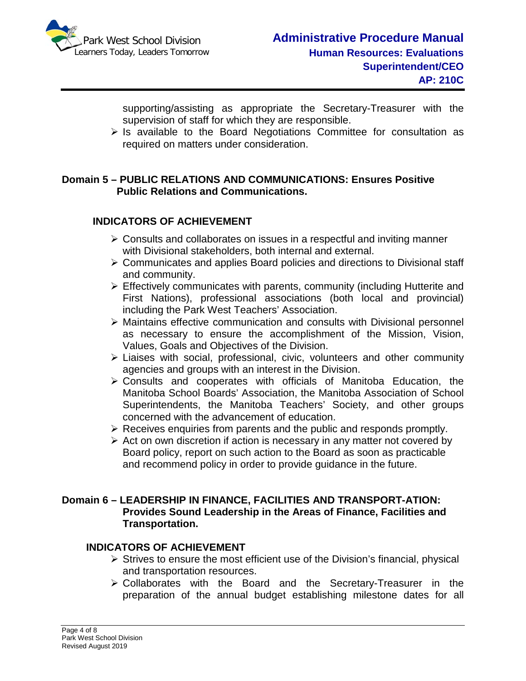

supporting/assisting as appropriate the Secretary-Treasurer with the supervision of staff for which they are responsible.

 $\triangleright$  Is available to the Board Negotiations Committee for consultation as required on matters under consideration.

## **Domain 5 – PUBLIC RELATIONS AND COMMUNICATIONS: Ensures Positive Public Relations and Communications.**

# **INDICATORS OF ACHIEVEMENT**

- $\triangleright$  Consults and collaborates on issues in a respectful and inviting manner with Divisional stakeholders, both internal and external.
- $\triangleright$  Communicates and applies Board policies and directions to Divisional staff and community.
- $\triangleright$  Effectively communicates with parents, community (including Hutterite and First Nations), professional associations (both local and provincial) including the Park West Teachers' Association.
- Maintains effective communication and consults with Divisional personnel as necessary to ensure the accomplishment of the Mission, Vision, Values, Goals and Objectives of the Division.
- $\triangleright$  Liaises with social, professional, civic, volunteers and other community agencies and groups with an interest in the Division.
- Consults and cooperates with officials of Manitoba Education, the Manitoba School Boards' Association, the Manitoba Association of School Superintendents, the Manitoba Teachers' Society, and other groups concerned with the advancement of education.
- $\triangleright$  Receives enquiries from parents and the public and responds promptly.
- $\triangleright$  Act on own discretion if action is necessary in any matter not covered by Board policy, report on such action to the Board as soon as practicable and recommend policy in order to provide guidance in the future.

## **Domain 6 – LEADERSHIP IN FINANCE, FACILITIES AND TRANSPORT-ATION: Provides Sound Leadership in the Areas of Finance, Facilities and Transportation.**

## **INDICATORS OF ACHIEVEMENT**

- $\triangleright$  Strives to ensure the most efficient use of the Division's financial, physical and transportation resources.
- Collaborates with the Board and the Secretary-Treasurer in the preparation of the annual budget establishing milestone dates for all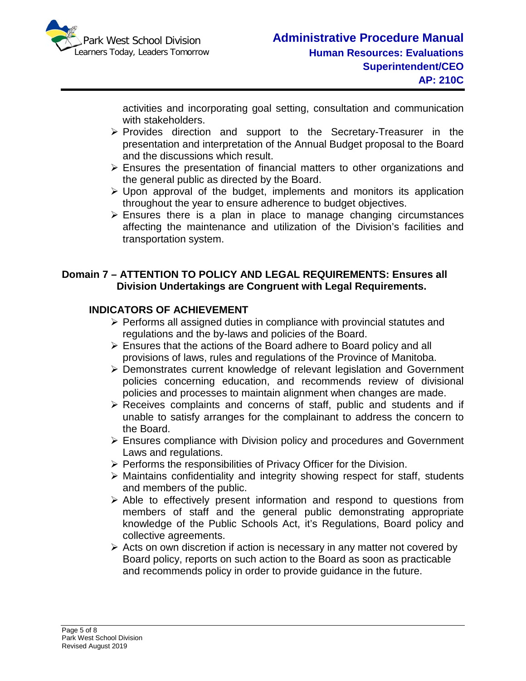

activities and incorporating goal setting, consultation and communication with stakeholders.

- Provides direction and support to the Secretary-Treasurer in the presentation and interpretation of the Annual Budget proposal to the Board and the discussions which result.
- $\triangleright$  Ensures the presentation of financial matters to other organizations and the general public as directed by the Board.
- $\triangleright$  Upon approval of the budget, implements and monitors its application throughout the year to ensure adherence to budget objectives.
- $\triangleright$  Ensures there is a plan in place to manage changing circumstances affecting the maintenance and utilization of the Division's facilities and transportation system.

## **Domain 7 – ATTENTION TO POLICY AND LEGAL REQUIREMENTS: Ensures all Division Undertakings are Congruent with Legal Requirements.**

# **INDICATORS OF ACHIEVEMENT**

- $\triangleright$  Performs all assigned duties in compliance with provincial statutes and regulations and the by-laws and policies of the Board.
- $\triangleright$  Ensures that the actions of the Board adhere to Board policy and all provisions of laws, rules and regulations of the Province of Manitoba.
- Demonstrates current knowledge of relevant legislation and Government policies concerning education, and recommends review of divisional policies and processes to maintain alignment when changes are made.
- $\triangleright$  Receives complaints and concerns of staff, public and students and if unable to satisfy arranges for the complainant to address the concern to the Board.
- Ensures compliance with Division policy and procedures and Government Laws and regulations.
- $\triangleright$  Performs the responsibilities of Privacy Officer for the Division.
- $\triangleright$  Maintains confidentiality and integrity showing respect for staff, students and members of the public.
- $\triangleright$  Able to effectively present information and respond to questions from members of staff and the general public demonstrating appropriate knowledge of the Public Schools Act, it's Regulations, Board policy and collective agreements.
- $\triangleright$  Acts on own discretion if action is necessary in any matter not covered by Board policy, reports on such action to the Board as soon as practicable and recommends policy in order to provide guidance in the future.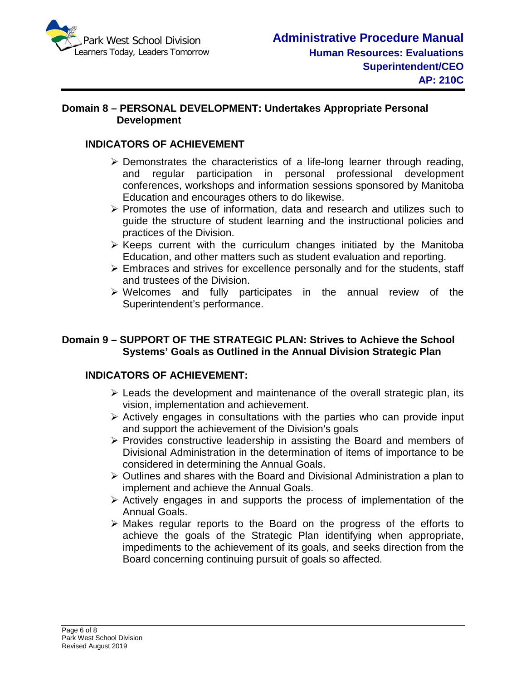

## **Domain 8 – PERSONAL DEVELOPMENT: Undertakes Appropriate Personal Development**

# **INDICATORS OF ACHIEVEMENT**

- $\triangleright$  Demonstrates the characteristics of a life-long learner through reading, and regular participation in personal professional development conferences, workshops and information sessions sponsored by Manitoba Education and encourages others to do likewise.
- $\triangleright$  Promotes the use of information, data and research and utilizes such to guide the structure of student learning and the instructional policies and practices of the Division.
- $\triangleright$  Keeps current with the curriculum changes initiated by the Manitoba Education, and other matters such as student evaluation and reporting.
- Embraces and strives for excellence personally and for the students, staff and trustees of the Division.
- Welcomes and fully participates in the annual review of the Superintendent's performance.

## **Domain 9 – SUPPORT OF THE STRATEGIC PLAN: Strives to Achieve the School Systems' Goals as Outlined in the Annual Division Strategic Plan**

# **INDICATORS OF ACHIEVEMENT:**

- $\triangleright$  Leads the development and maintenance of the overall strategic plan, its vision, implementation and achievement.
- $\triangleright$  Actively engages in consultations with the parties who can provide input and support the achievement of the Division's goals
- $\triangleright$  Provides constructive leadership in assisting the Board and members of Divisional Administration in the determination of items of importance to be considered in determining the Annual Goals.
- $\triangleright$  Outlines and shares with the Board and Divisional Administration a plan to implement and achieve the Annual Goals.
- $\triangleright$  Actively engages in and supports the process of implementation of the Annual Goals.
- $\triangleright$  Makes regular reports to the Board on the progress of the efforts to achieve the goals of the Strategic Plan identifying when appropriate, impediments to the achievement of its goals, and seeks direction from the Board concerning continuing pursuit of goals so affected.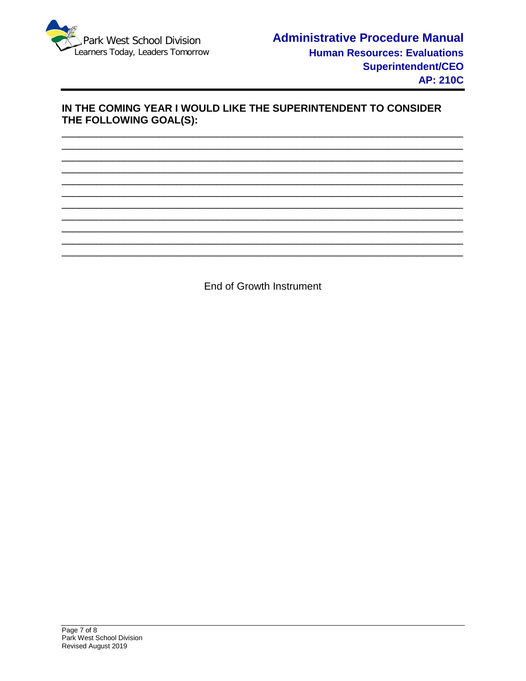

## IN THE COMING YEAR I WOULD LIKE THE SUPERINTENDENT TO CONSIDER THE FOLLOWING GOAL(S):

**End of Growth Instrument**